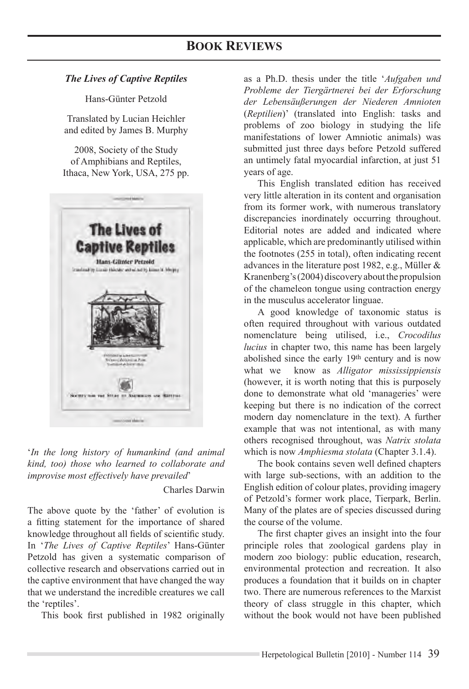# *The Lives of Captive Reptiles*

Hans-Günter Petzold

Translated by Lucian Heichler and edited by James B. Murphy

2008, Society of the Study of Amphibians and Reptiles, Ithaca, New York, USA, 275 pp.



'*In the long history of humankind (and animal kind, too) those who learned to collaborate and improvise most effectively have prevailed*'

Charles Darwin

The above quote by the 'father' of evolution is a fitting statement for the importance of shared knowledge throughout all fields of scientific study. In '*The Lives of Captive Reptiles*' Hans-Günter Petzold has given a systematic comparison of collective research and observations carried out in the captive environment that have changed the way that we understand the incredible creatures we call the 'reptiles'.

This book first published in 1982 originally

as a Ph.D. thesis under the title '*Aufgaben und Probleme der Tiergärtnerei bei der Erforschung der Lebensäußerungen der Niederen Amnioten* (*Reptilien*)' (translated into English: tasks and problems of zoo biology in studying the life manifestations of lower Amniotic animals) was submitted just three days before Petzold suffered an untimely fatal myocardial infarction, at just 51 years of age.

This English translated edition has received very little alteration in its content and organisation from its former work, with numerous translatory discrepancies inordinately occurring throughout. Editorial notes are added and indicated where applicable, which are predominantly utilised within the footnotes (255 in total), often indicating recent advances in the literature post 1982, e.g., Müller & Kranenberg's (2004) discovery about the propulsion of the chameleon tongue using contraction energy in the musculus accelerator linguae.

A good knowledge of taxonomic status is often required throughout with various outdated nomenclature being utilised, i.e., *Crocodilus lucius* in chapter two, this name has been largely abolished since the early 19th century and is now what we know as *Alligator mississippiensis* (however, it is worth noting that this is purposely done to demonstrate what old 'manageries' were keeping but there is no indication of the correct modern day nomenclature in the text). A further example that was not intentional, as with many others recognised throughout, was *Natrix stolata* which is now *Amphiesma stolata* (Chapter 3.1.4).

The book contains seven well defined chapters with large sub-sections, with an addition to the English edition of colour plates, providing imagery of Petzold's former work place, Tierpark, Berlin. Many of the plates are of species discussed during the course of the volume.

The first chapter gives an insight into the four principle roles that zoological gardens play in modern zoo biology: public education, research, environmental protection and recreation. It also produces a foundation that it builds on in chapter two. There are numerous references to the Marxist theory of class struggle in this chapter, which without the book would not have been published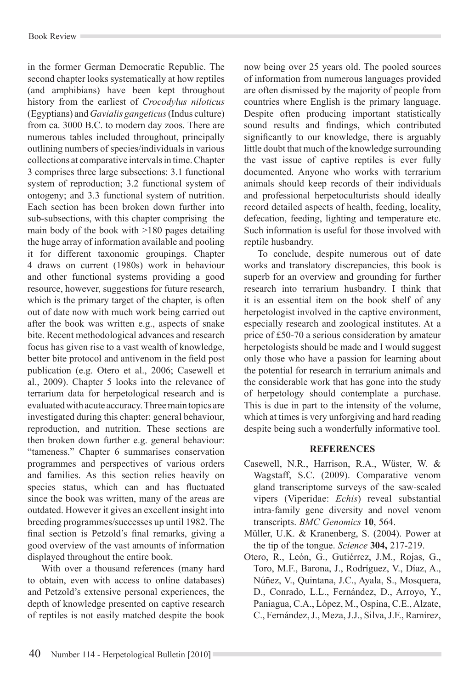in the former German Democratic Republic. The second chapter looks systematically at how reptiles (and amphibians) have been kept throughout history from the earliest of *Crocodylus niloticus* (Egyptians) and *Gavialis gangeticus* (Indus culture) from ca. 3000 B.C. to modern day zoos. There are numerous tables included throughout, principally outlining numbers of species/individuals in various collections at comparative intervals in time. Chapter 3 comprises three large subsections: 3.1 functional system of reproduction; 3.2 functional system of ontogeny; and 3.3 functional system of nutrition. Each section has been broken down further into sub-subsections, with this chapter comprising the main body of the book with >180 pages detailing the huge array of information available and pooling it for different taxonomic groupings. Chapter 4 draws on current (1980s) work in behaviour and other functional systems providing a good resource, however, suggestions for future research, which is the primary target of the chapter, is often out of date now with much work being carried out after the book was written e.g., aspects of snake bite. Recent methodological advances and research focus has given rise to a vast wealth of knowledge, better bite protocol and antivenom in the field post publication (e.g. Otero et al., 2006; Casewell et al., 2009). Chapter 5 looks into the relevance of terrarium data for herpetological research and is evaluated with acute accuracy. Three main topics are investigated during this chapter: general behaviour, reproduction, and nutrition. These sections are then broken down further e.g. general behaviour: "tameness." Chapter 6 summarises conservation programmes and perspectives of various orders and families. As this section relies heavily on species status, which can and has fluctuated since the book was written, many of the areas are outdated. However it gives an excellent insight into breeding programmes/successes up until 1982. The final section is Petzold's final remarks, giving a good overview of the vast amounts of information displayed throughout the entire book.

With over a thousand references (many hard to obtain, even with access to online databases) and Petzold's extensive personal experiences, the depth of knowledge presented on captive research of reptiles is not easily matched despite the book now being over 25 years old. The pooled sources of information from numerous languages provided are often dismissed by the majority of people from countries where English is the primary language. Despite often producing important statistically sound results and findings, which contributed significantly to our knowledge, there is arguably little doubt that much of the knowledge surrounding the vast issue of captive reptiles is ever fully documented. Anyone who works with terrarium animals should keep records of their individuals and professional herpetoculturists should ideally record detailed aspects of health, feeding, locality, defecation, feeding, lighting and temperature etc. Such information is useful for those involved with reptile husbandry.

To conclude, despite numerous out of date works and translatory discrepancies, this book is superb for an overview and grounding for further research into terrarium husbandry. I think that it is an essential item on the book shelf of any herpetologist involved in the captive environment, especially research and zoological institutes. At a price of £50-70 a serious consideration by amateur herpetologists should be made and I would suggest only those who have a passion for learning about the potential for research in terrarium animals and the considerable work that has gone into the study of herpetology should contemplate a purchase. This is due in part to the intensity of the volume, which at times is very unforgiving and hard reading despite being such a wonderfully informative tool.

#### **References**

- Casewell, N.R., Harrison, R.A., Wüster, W. & Wagstaff, S.C. (2009). Comparative venom gland transcriptome surveys of the saw-scaled vipers (Viperidae: *Echis*) reveal substantial intra-family gene diversity and novel venom transcripts. *BMC Genomics* **10**, 564.
- Müller, U.K. & Kranenberg, S. (2004). Power at the tip of the tongue. *Science* **304,** 217-219.
- Otero, R., León, G., Gutiérrez, J.M., Rojas, G., Toro, M.F., Barona, J., Rodríguez, V., Díaz, A., Núñez, V., Quintana, J.C., Ayala, S., Mosquera, D., Conrado, L.L., Fernández, D., Arroyo, Y., Paniagua, C.A., López, M., Ospina, C.E., Alzate, C., Fernández, J., Meza, J.J., Silva, J.F., Ramírez,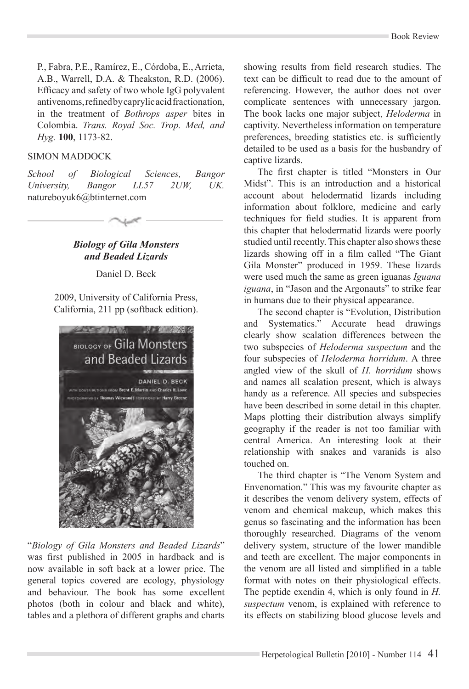P., Fabra, P.E., Ramírez, E., Córdoba, E., Arrieta, A.B., Warrell, D.A. & Theakston, R.D. (2006). Efficacy and safety of two whole IgG polyvalent antivenoms, refined by caprylic acid fractionation, in the treatment of *Bothrops asper* bites in Colombia. *Trans. Royal Soc. Trop. Med, and Hyg.* **100**, 1173-82.

### Simon Maddock

*School of Biological Sciences, Bangor University, Bangor LL57 2UW, UK.* natureboyuk6@btinternet.com

### *Biology of Gila Monsters and Beaded Lizards*

Daniel D. Beck

2009, University of California Press, California, 211 pp (softback edition).



"*Biology of Gila Monsters and Beaded Lizards*" was first published in 2005 in hardback and is now available in soft back at a lower price. The general topics covered are ecology, physiology and behaviour. The book has some excellent photos (both in colour and black and white), tables and a plethora of different graphs and charts showing results from field research studies. The text can be difficult to read due to the amount of referencing. However, the author does not over complicate sentences with unnecessary jargon. The book lacks one major subject, *Heloderma* in captivity. Nevertheless information on temperature preferences, breeding statistics etc. is sufficiently detailed to be used as a basis for the husbandry of captive lizards.

The first chapter is titled "Monsters in Our Midst". This is an introduction and a historical account about helodermatid lizards including information about folklore, medicine and early techniques for field studies. It is apparent from this chapter that helodermatid lizards were poorly studied until recently. This chapter also shows these lizards showing off in a film called "The Giant Gila Monster" produced in 1959. These lizards were used much the same as green iguanas *Iguana iguana*, in "Jason and the Argonauts" to strike fear in humans due to their physical appearance.

The second chapter is "Evolution, Distribution and Systematics." Accurate head drawings clearly show scalation differences between the two subspecies of *Heloderma suspectum* and the four subspecies of *Heloderma horridum*. A three angled view of the skull of *H. horridum* shows and names all scalation present, which is always handy as a reference. All species and subspecies have been described in some detail in this chapter. Maps plotting their distribution always simplify geography if the reader is not too familiar with central America. An interesting look at their relationship with snakes and varanids is also touched on.

The third chapter is "The Venom System and Envenomation." This was my favourite chapter as it describes the venom delivery system, effects of venom and chemical makeup, which makes this genus so fascinating and the information has been thoroughly researched. Diagrams of the venom delivery system, structure of the lower mandible and teeth are excellent. The major components in the venom are all listed and simplified in a table format with notes on their physiological effects. The peptide exendin 4, which is only found in *H. suspectum* venom, is explained with reference to its effects on stabilizing blood glucose levels and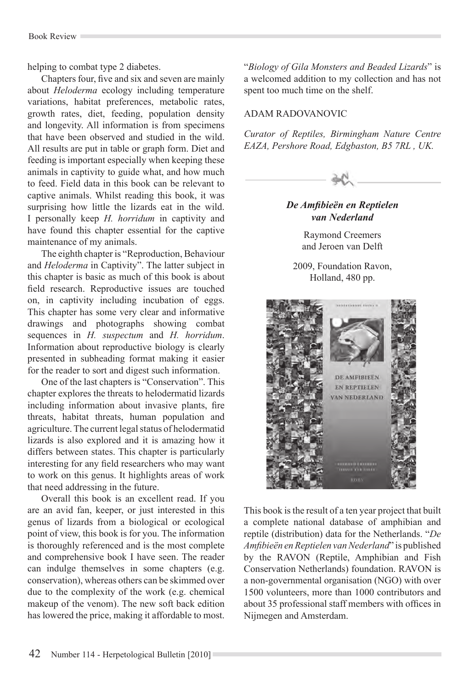helping to combat type 2 diabetes.

Chapters four, five and six and seven are mainly about *Heloderma* ecology including temperature variations, habitat preferences, metabolic rates, growth rates, diet, feeding, population density and longevity. All information is from specimens that have been observed and studied in the wild. All results are put in table or graph form. Diet and feeding is important especially when keeping these animals in captivity to guide what, and how much to feed. Field data in this book can be relevant to captive animals. Whilst reading this book, it was surprising how little the lizards eat in the wild. I personally keep *H. horridum* in captivity and have found this chapter essential for the captive maintenance of my animals.

The eighth chapter is "Reproduction, Behaviour and *Heloderma* in Captivity". The latter subject in this chapter is basic as much of this book is about field research. Reproductive issues are touched on, in captivity including incubation of eggs. This chapter has some very clear and informative drawings and photographs showing combat sequences in *H. suspectum* and *H. horridum*. Information about reproductive biology is clearly presented in subheading format making it easier for the reader to sort and digest such information.

One of the last chapters is "Conservation". This chapter explores the threats to helodermatid lizards including information about invasive plants, fire threats, habitat threats, human population and agriculture. The current legal status of helodermatid lizards is also explored and it is amazing how it differs between states. This chapter is particularly interesting for any field researchers who may want to work on this genus. It highlights areas of work that need addressing in the future.

Overall this book is an excellent read. If you are an avid fan, keeper, or just interested in this genus of lizards from a biological or ecological point of view, this book is for you. The information is thoroughly referenced and is the most complete and comprehensive book I have seen. The reader can indulge themselves in some chapters (e.g. conservation), whereas others can be skimmed over due to the complexity of the work (e.g. chemical makeup of the venom). The new soft back edition has lowered the price, making it affordable to most.

"*Biology of Gila Monsters and Beaded Lizards*" is a welcomed addition to my collection and has not spent too much time on the shelf.

#### ADAM RADOVANOVIC

*Curator of Reptiles, Birmingham Nature Centre EAZA, Pershore Road, Edgbaston, B5 7RL , UK.*



# *De Amfibieën en Reptielen van Nederland*

Raymond Creemers and Jeroen van Delft

2009, Foundation Ravon, Holland, 480 pp.



This book is the result of a ten year project that built a complete national database of amphibian and reptile (distribution) data for the Netherlands. "*De Amfibieën en Reptielen van Nederland*" is published by the RAVON (Reptile, Amphibian and Fish Conservation Netherlands) foundation. RAVON is a non-governmental organisation (NGO) with over 1500 volunteers, more than 1000 contributors and about 35 professional staff members with offices in Nijmegen and Amsterdam.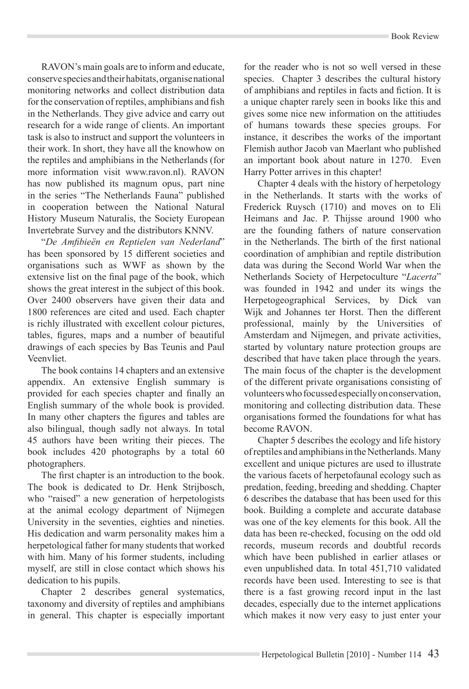RAVON's main goals are to inform and educate, conserve species and their habitats, organise national monitoring networks and collect distribution data for the conservation of reptiles, amphibians and fish in the Netherlands. They give advice and carry out research for a wide range of clients. An important task is also to instruct and support the volunteers in their work. In short, they have all the knowhow on the reptiles and amphibians in the Netherlands (for more information visit www.ravon.nl). RAVON has now published its magnum opus, part nine in the series "The Netherlands Fauna" published in cooperation between the National Natural History Museum Naturalis, the Society European Invertebrate Survey and the distributors KNNV.

"*De Amfibieën en Reptielen van Nederland*" has been sponsored by 15 different societies and organisations such as WWF as shown by the extensive list on the final page of the book, which shows the great interest in the subject of this book. Over 2400 observers have given their data and 1800 references are cited and used. Each chapter is richly illustrated with excellent colour pictures, tables, figures, maps and a number of beautiful drawings of each species by Bas Teunis and Paul Veenvliet.

The book contains 14 chapters and an extensive appendix. An extensive English summary is provided for each species chapter and finally an English summary of the whole book is provided. In many other chapters the figures and tables are also bilingual, though sadly not always. In total 45 authors have been writing their pieces. The book includes 420 photographs by a total 60 photographers.

The first chapter is an introduction to the book. The book is dedicated to Dr. Henk Strijbosch, who "raised" a new generation of herpetologists at the animal ecology department of Nijmegen University in the seventies, eighties and nineties. His dedication and warm personality makes him a herpetological father for many students that worked with him. Many of his former students, including myself, are still in close contact which shows his dedication to his pupils.

Chapter 2 describes general systematics, taxonomy and diversity of reptiles and amphibians in general. This chapter is especially important

for the reader who is not so well versed in these species. Chapter 3 describes the cultural history of amphibians and reptiles in facts and fiction. It is a unique chapter rarely seen in books like this and gives some nice new information on the attitiudes of humans towards these species groups. For instance, it describes the works of the important Flemish author Jacob van Maerlant who published an important book about nature in 1270. Even Harry Potter arrives in this chapter!

Chapter 4 deals with the history of herpetology in the Netherlands. It starts with the works of Frederick Ruysch (1710) and moves on to Eli Heimans and Jac. P. Thijsse around 1900 who are the founding fathers of nature conservation in the Netherlands. The birth of the first national coordination of amphibian and reptile distribution data was during the Second World War when the Netherlands Society of Herpetoculture "*Lacerta*" was founded in 1942 and under its wings the Herpetogeographical Services, by Dick van Wijk and Johannes ter Horst. Then the different professional, mainly by the Universities of Amsterdam and Nijmegen, and private activities, started by voluntary nature protection groups are described that have taken place through the years. The main focus of the chapter is the development of the different private organisations consisting of volunteers who focussed especially on conservation, monitoring and collecting distribution data. These organisations formed the foundations for what has become RAVON.

Chapter 5 describes the ecology and life history of reptiles and amphibians in the Netherlands. Many excellent and unique pictures are used to illustrate the various facets of herpetofaunal ecology such as predation, feeding, breeding and shedding. Chapter 6 describes the database that has been used for this book. Building a complete and accurate database was one of the key elements for this book. All the data has been re-checked, focusing on the odd old records, museum records and doubtful records which have been published in earlier atlases or even unpublished data. In total 451,710 validated records have been used. Interesting to see is that there is a fast growing record input in the last decades, especially due to the internet applications which makes it now very easy to just enter your